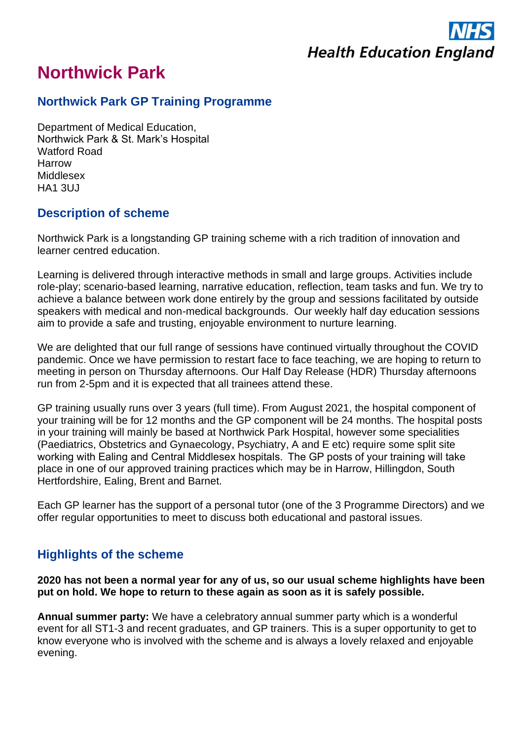

# **Northwick Park**

### **Northwick Park GP Training Programme**

Department of Medical Education, Northwick Park & St. Mark's Hospital Watford Road Harrow Middlesex HA1 3UJ

## **Description of scheme**

Northwick Park is a longstanding GP training scheme with a rich tradition of innovation and learner centred education.

Learning is delivered through interactive methods in small and large groups. Activities include role-play; scenario-based learning, narrative education, reflection, team tasks and fun. We try to achieve a balance between work done entirely by the group and sessions facilitated by outside speakers with medical and non-medical backgrounds. Our weekly half day education sessions aim to provide a safe and trusting, enjoyable environment to nurture learning.

We are delighted that our full range of sessions have continued virtually throughout the COVID pandemic. Once we have permission to restart face to face teaching, we are hoping to return to meeting in person on Thursday afternoons. Our Half Day Release (HDR) Thursday afternoons run from 2-5pm and it is expected that all trainees attend these.

GP training usually runs over 3 years (full time). From August 2021, the hospital component of your training will be for 12 months and the GP component will be 24 months. The hospital posts in your training will mainly be based at Northwick Park Hospital, however some specialities (Paediatrics, Obstetrics and Gynaecology, Psychiatry, A and E etc) require some split site working with Ealing and Central Middlesex hospitals.  The GP posts of your training will take place in one of our approved training practices which may be in Harrow, Hillingdon, South Hertfordshire, Ealing, Brent and Barnet.

Each GP learner has the support of a personal tutor (one of the 3 Programme Directors) and we offer regular opportunities to meet to discuss both educational and pastoral issues.

# **Highlights of the scheme**

#### **2020 has not been a normal year for any of us, so our usual scheme highlights have been put on hold. We hope to return to these again as soon as it is safely possible.**

**Annual summer party:** We have a celebratory annual summer party which is a wonderful event for all ST1-3 and recent graduates, and GP trainers. This is a super opportunity to get to know everyone who is involved with the scheme and is always a lovely relaxed and enjoyable evening.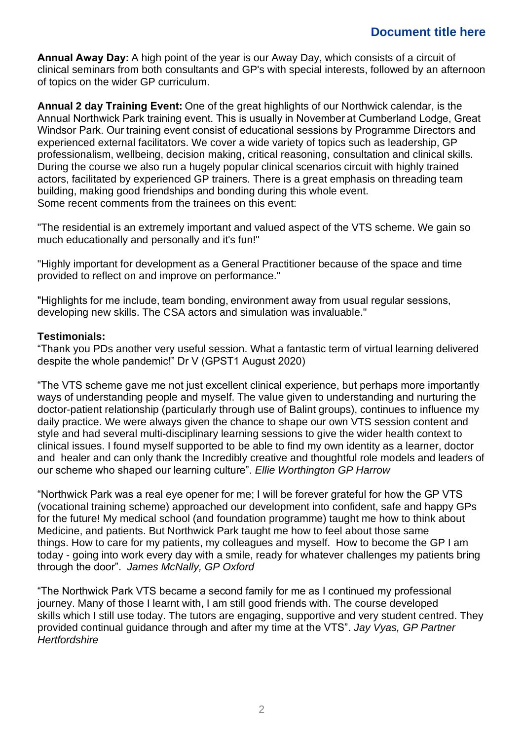### **Document title here**

**Annual Away Day:**A high point of the year is our Away Day, which consists of a circuit of clinical seminars from both consultants and GP's with special interests, followed by an afternoon of topics on the wider GP curriculum.

**Annual 2 day Training Event:**One of the great highlights of our Northwick calendar, is the Annual Northwick Park training event. This is usually in November at Cumberland Lodge, Great Windsor Park. Our training event consist of educational sessions by Programme Directors and experienced external facilitators. We cover a wide variety of topics such as leadership, GP professionalism, wellbeing, decision making, critical reasoning, consultation and clinical skills. During the course we also run a hugely popular clinical scenarios circuit with highly trained actors, facilitated by experienced GP trainers. There is a great emphasis on threading team building, making good friendships and bonding during this whole event. Some recent comments from the trainees on this event:

"The residential is an extremely important and valued aspect of the VTS scheme. We gain so much educationally and personally and it's fun!"

"Highly important for development as a General Practitioner because of the space and time provided to reflect on and improve on performance."

"Highlights for me include, team bonding, environment away from usual regular sessions, developing new skills. The CSA actors and simulation was invaluable."

#### **Testimonials:**

"Thank you PDs another very useful session. What a fantastic term of virtual learning delivered despite the whole pandemic!" Dr V (GPST1 August 2020)

"The VTS scheme gave me not just excellent clinical experience, but perhaps more importantly ways of understanding people and myself. The value given to understanding and nurturing the doctor-patient relationship (particularly through use of Balint groups), continues to influence my daily practice. We were always given the chance to shape our own VTS session content and style and had several multi-disciplinary learning sessions to give the wider health context to clinical issues. I found myself supported to be able to find my own identity as a learner, doctor and healer and can only thank the Incredibly creative and thoughtful role models and leaders of our scheme who shaped our learning culture". *Ellie Worthington GP Harrow*

"Northwick Park was a real eye opener for me; I will be forever grateful for how the GP VTS (vocational training scheme) approached our development into confident, safe and happy GPs for the future! My medical school (and foundation programme) taught me how to think about Medicine, and patients. But Northwick Park taught me how to feel about those same things. How to care for my patients, my colleagues and myself. How to become the GP I am today - going into work every day with a smile, ready for whatever challenges my patients bring through the door". *James McNally, GP Oxford*

"The Northwick Park VTS became a second family for me as I continued my professional journey. Many of those I learnt with, I am still good friends with. The course developed skills which I still use today. The tutors are engaging, supportive and very student centred. They provided continual guidance through and after my time at the VTS". *Jay Vyas, GP Partner Hertfordshire*